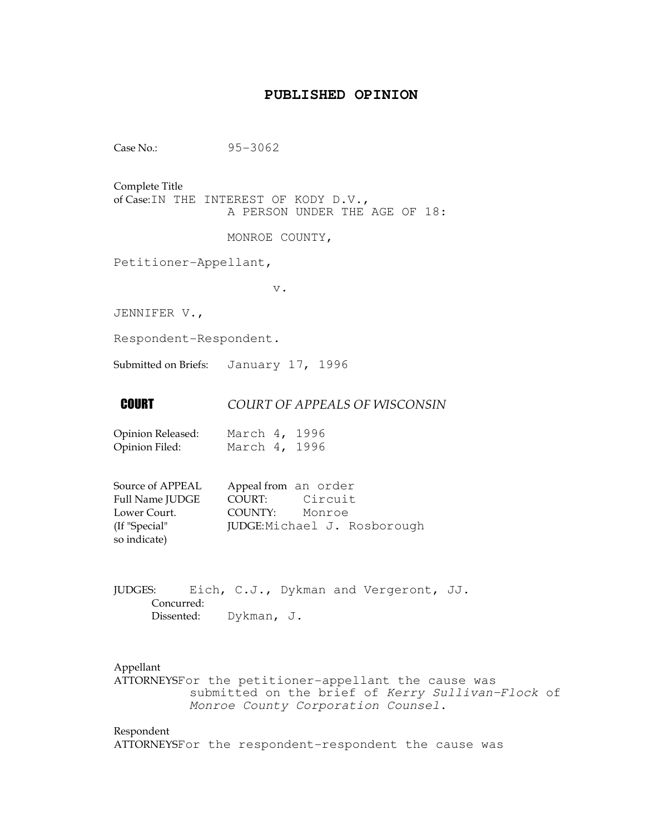## **PUBLISHED OPINION**

Case No.: 95-3062

Complete Title

of Case:IN THE INTEREST OF KODY D.V., A PERSON UNDER THE AGE OF 18:

MONROE COUNTY,

Petitioner-Appellant,

v.

JENNIFER V.,

Respondent-Respondent.

Submitted on Briefs: January 17, 1996

### **COURT OF APPEALS OF WISCONSIN**

| Opinion Released: | March 4, 1996 |  |
|-------------------|---------------|--|
| Opinion Filed:    | March 4, 1996 |  |

| Source of APPEAL | Appeal from an order         |
|------------------|------------------------------|
| Full Name JUDGE  | Circuit<br>COURT:            |
| Lower Court.     | COUNTY: Monroe               |
| (If "Special"    | JUDGE: Michael J. Rosborough |
| so indicate)     |                              |

JUDGES: Eich, C.J., Dykman and Vergeront, JJ. Concurred: Dissented: Dykman, J.

Appellant

ATTORNEYSFor the petitioner-appellant the cause was submitted on the brief of Kerry Sullivan-Flock of Monroe County Corporation Counsel.

## Respondent

ATTORNEYSFor the respondent-respondent the cause was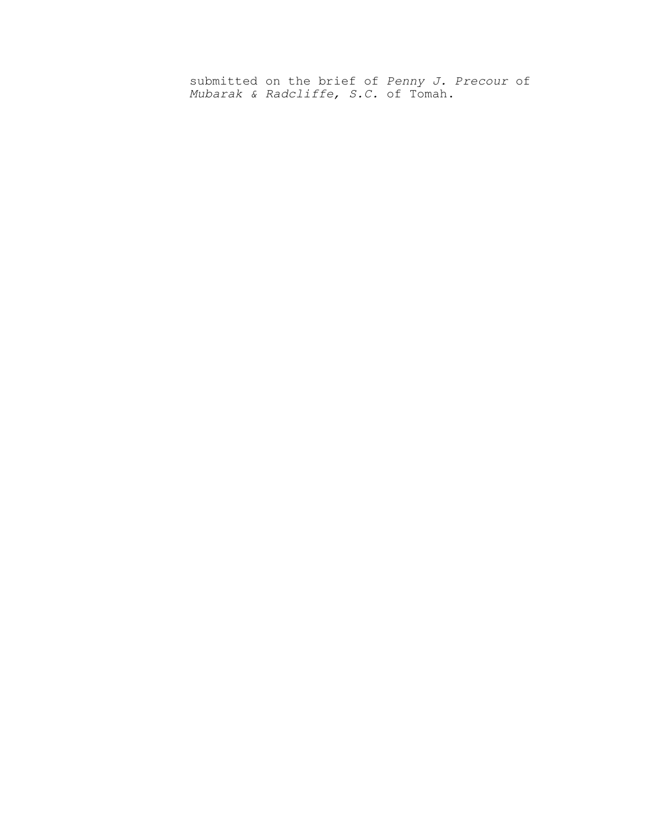submitted on the brief of Penny J. Precour of Mubarak & Radcliffe, S.C. of Tomah.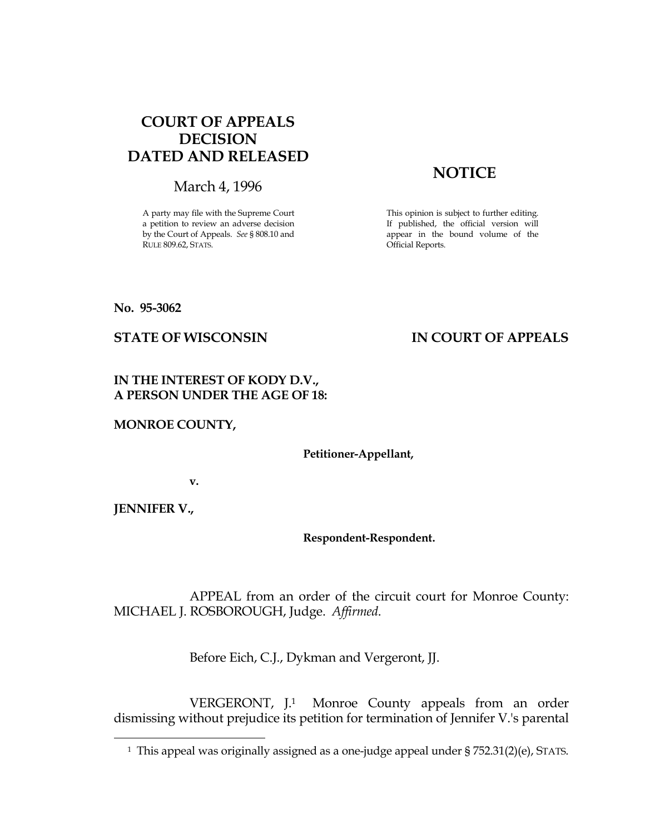## COURT OF APPEALS DECISION DATED AND RELEASED

March 4, 1996

A party may file with the Supreme Court a petition to review an adverse decision by the Court of Appeals. See § 808.10 and RULE 809.62, STATS.

# **NOTICE**

This opinion is subject to further editing. If published, the official version will appear in the bound volume of the Official Reports.

No. 95-3062

## STATE OF WISCONSIN IN COURT OF APPEALS

## IN THE INTEREST OF KODY D.V., A PERSON UNDER THE AGE OF 18:

MONROE COUNTY,

Petitioner-Appellant,

v.

JENNIFER V.,

i

Respondent-Respondent.

 APPEAL from an order of the circuit court for Monroe County: MICHAEL J. ROSBOROUGH, Judge. Affirmed.

Before Eich, C.J., Dykman and Vergeront, JJ.

 VERGERONT, J.1 Monroe County appeals from an order dismissing without prejudice its petition for termination of Jennifer V.'s parental

<sup>&</sup>lt;sup>1</sup> This appeal was originally assigned as a one-judge appeal under § 752.31(2)(e), STATS.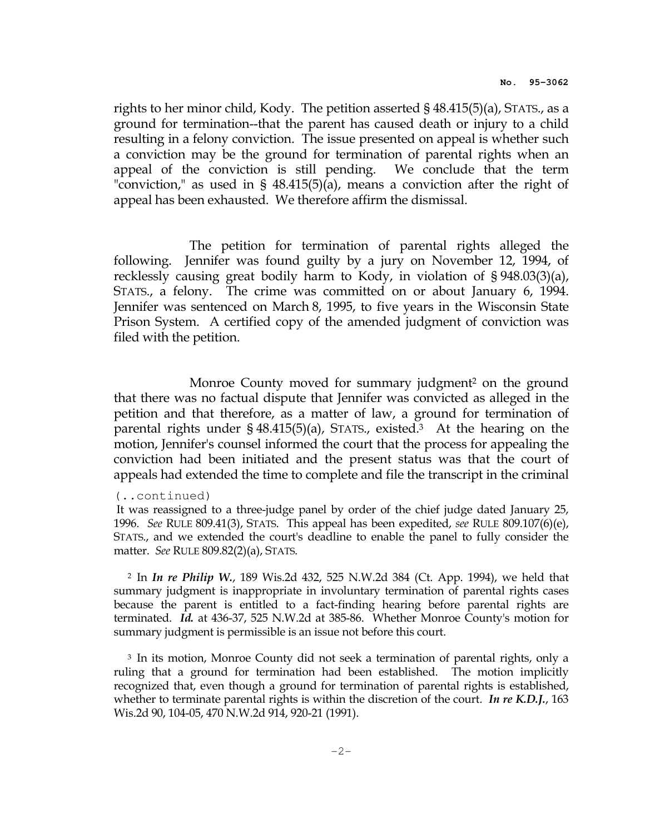rights to her minor child, Kody. The petition asserted § 48.415(5)(a), STATS., as a ground for termination--that the parent has caused death or injury to a child resulting in a felony conviction. The issue presented on appeal is whether such a conviction may be the ground for termination of parental rights when an appeal of the conviction is still pending. We conclude that the term "conviction," as used in § 48.415(5)(a), means a conviction after the right of appeal has been exhausted. We therefore affirm the dismissal.

 The petition for termination of parental rights alleged the following. Jennifer was found guilty by a jury on November 12, 1994, of recklessly causing great bodily harm to Kody, in violation of § 948.03(3)(a), STATS., a felony. The crime was committed on or about January 6, 1994. Jennifer was sentenced on March 8, 1995, to five years in the Wisconsin State Prison System. A certified copy of the amended judgment of conviction was filed with the petition.

Monroe County moved for summary judgment<sup>2</sup> on the ground that there was no factual dispute that Jennifer was convicted as alleged in the petition and that therefore, as a matter of law, a ground for termination of parental rights under  $\S$  48.415(5)(a), STATS., existed.<sup>3</sup> At the hearing on the motion, Jennifer's counsel informed the court that the process for appealing the conviction had been initiated and the present status was that the court of appeals had extended the time to complete and file the transcript in the criminal

#### (..continued)

 It was reassigned to a three-judge panel by order of the chief judge dated January 25, 1996. See RULE 809.41(3), STATS. This appeal has been expedited, see RULE  $809.107(6)(e)$ , STATS., and we extended the court's deadline to enable the panel to fully consider the matter. See RULE 809.82(2)(a), STATS.

<sup>2</sup> In In re Philip W., 189 Wis.2d 432, 525 N.W.2d 384 (Ct. App. 1994), we held that summary judgment is inappropriate in involuntary termination of parental rights cases because the parent is entitled to a fact-finding hearing before parental rights are terminated. Id. at 436-37, 525 N.W.2d at 385-86. Whether Monroe County's motion for summary judgment is permissible is an issue not before this court.

<sup>3</sup> In its motion, Monroe County did not seek a termination of parental rights, only a ruling that a ground for termination had been established. The motion implicitly recognized that, even though a ground for termination of parental rights is established, whether to terminate parental rights is within the discretion of the court. In re K.D.J., 163 Wis.2d 90, 104-05, 470 N.W.2d 914, 920-21 (1991).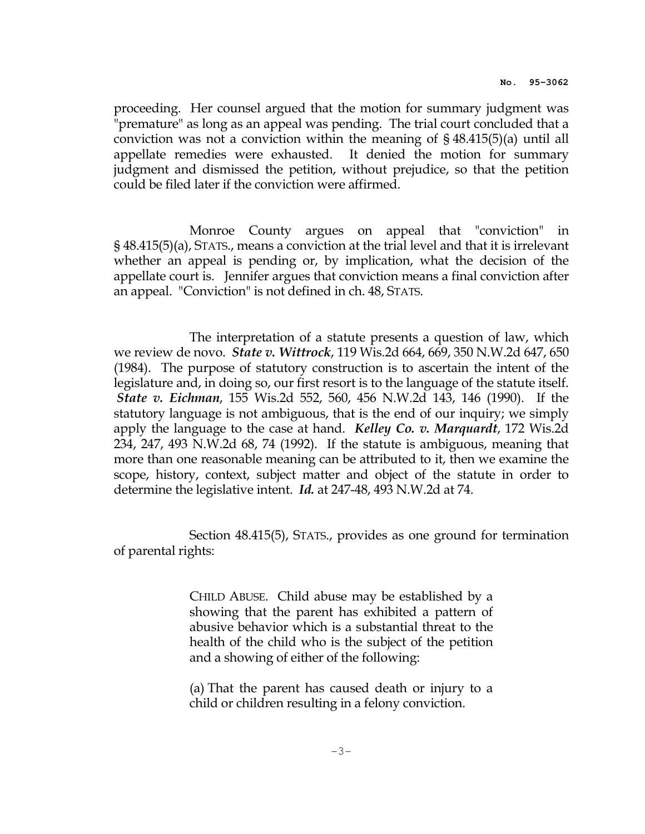proceeding. Her counsel argued that the motion for summary judgment was "premature" as long as an appeal was pending. The trial court concluded that a conviction was not a conviction within the meaning of § 48.415(5)(a) until all appellate remedies were exhausted. It denied the motion for summary judgment and dismissed the petition, without prejudice, so that the petition could be filed later if the conviction were affirmed.

 Monroe County argues on appeal that "conviction" in § 48.415(5)(a), STATS., means a conviction at the trial level and that it is irrelevant whether an appeal is pending or, by implication, what the decision of the appellate court is. Jennifer argues that conviction means a final conviction after an appeal. "Conviction" is not defined in ch. 48, STATS.

 The interpretation of a statute presents a question of law, which we review de novo. *State v. Wittrock*, 119 Wis.2d 664, 669, 350 N.W.2d 647, 650 (1984). The purpose of statutory construction is to ascertain the intent of the legislature and, in doing so, our first resort is to the language of the statute itself. State v. Eichman, 155 Wis.2d 552, 560, 456 N.W.2d 143, 146 (1990). If the statutory language is not ambiguous, that is the end of our inquiry; we simply apply the language to the case at hand. *Kelley Co. v. Marquardt*, 172 Wis.2d 234, 247, 493 N.W.2d 68, 74 (1992). If the statute is ambiguous, meaning that more than one reasonable meaning can be attributed to it, then we examine the scope, history, context, subject matter and object of the statute in order to determine the legislative intent. Id. at 247-48, 493 N.W.2d at 74.

 Section 48.415(5), STATS., provides as one ground for termination of parental rights:

> CHILD ABUSE. Child abuse may be established by a showing that the parent has exhibited a pattern of abusive behavior which is a substantial threat to the health of the child who is the subject of the petition and a showing of either of the following:

> (a) That the parent has caused death or injury to a child or children resulting in a felony conviction.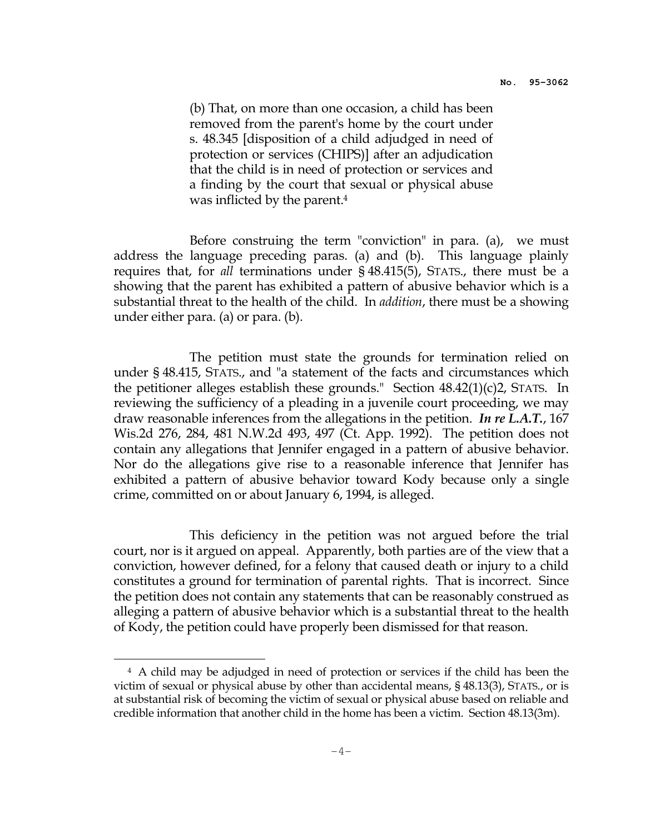(b) That, on more than one occasion, a child has been removed from the parent's home by the court under s. 48.345 [disposition of a child adjudged in need of protection or services (CHIPS)] after an adjudication that the child is in need of protection or services and a finding by the court that sexual or physical abuse was inflicted by the parent.<sup>4</sup>

 Before construing the term "conviction" in para. (a), we must address the language preceding paras. (a) and (b). This language plainly requires that, for all terminations under § 48.415(5), STATS., there must be a showing that the parent has exhibited a pattern of abusive behavior which is a substantial threat to the health of the child. In addition, there must be a showing under either para. (a) or para. (b).

 The petition must state the grounds for termination relied on under § 48.415, STATS., and "a statement of the facts and circumstances which the petitioner alleges establish these grounds." Section 48.42(1)(c)2, STATS. In reviewing the sufficiency of a pleading in a juvenile court proceeding, we may draw reasonable inferences from the allegations in the petition. In re L.A.T., 167 Wis.2d 276, 284, 481 N.W.2d 493, 497 (Ct. App. 1992). The petition does not contain any allegations that Jennifer engaged in a pattern of abusive behavior. Nor do the allegations give rise to a reasonable inference that Jennifer has exhibited a pattern of abusive behavior toward Kody because only a single crime, committed on or about January 6, 1994, is alleged.

 This deficiency in the petition was not argued before the trial court, nor is it argued on appeal. Apparently, both parties are of the view that a conviction, however defined, for a felony that caused death or injury to a child constitutes a ground for termination of parental rights. That is incorrect. Since the petition does not contain any statements that can be reasonably construed as alleging a pattern of abusive behavior which is a substantial threat to the health of Kody, the petition could have properly been dismissed for that reason.

i

<sup>4</sup> A child may be adjudged in need of protection or services if the child has been the victim of sexual or physical abuse by other than accidental means, § 48.13(3), STATS., or is at substantial risk of becoming the victim of sexual or physical abuse based on reliable and credible information that another child in the home has been a victim. Section 48.13(3m).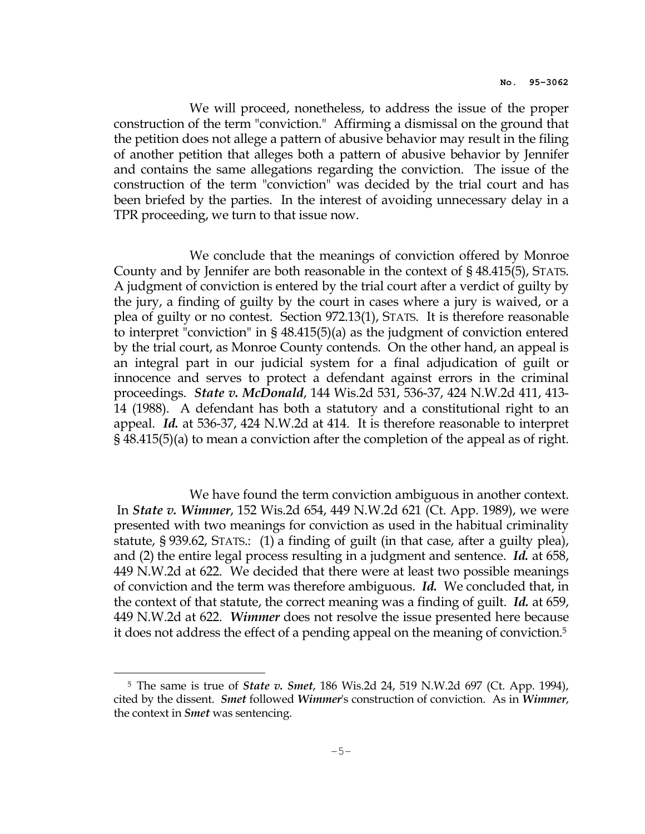We will proceed, nonetheless, to address the issue of the proper construction of the term "conviction." Affirming a dismissal on the ground that the petition does not allege a pattern of abusive behavior may result in the filing of another petition that alleges both a pattern of abusive behavior by Jennifer and contains the same allegations regarding the conviction. The issue of the construction of the term "conviction" was decided by the trial court and has been briefed by the parties. In the interest of avoiding unnecessary delay in a TPR proceeding, we turn to that issue now.

 We conclude that the meanings of conviction offered by Monroe County and by Jennifer are both reasonable in the context of § 48.415(5), STATS. A judgment of conviction is entered by the trial court after a verdict of guilty by the jury, a finding of guilty by the court in cases where a jury is waived, or a plea of guilty or no contest. Section 972.13(1), STATS. It is therefore reasonable to interpret "conviction" in § 48.415(5)(a) as the judgment of conviction entered by the trial court, as Monroe County contends. On the other hand, an appeal is an integral part in our judicial system for a final adjudication of guilt or innocence and serves to protect a defendant against errors in the criminal proceedings. State v. McDonald, 144 Wis.2d 531, 536-37, 424 N.W.2d 411, 413- 14 (1988). A defendant has both a statutory and a constitutional right to an appeal. Id. at 536-37, 424 N.W.2d at 414. It is therefore reasonable to interpret § 48.415(5)(a) to mean a conviction after the completion of the appeal as of right.

 We have found the term conviction ambiguous in another context. In State v. Wimmer, 152 Wis.2d 654, 449 N.W.2d 621 (Ct. App. 1989), we were presented with two meanings for conviction as used in the habitual criminality statute, § 939.62, STATS.: (1) a finding of guilt (in that case, after a guilty plea), and (2) the entire legal process resulting in a judgment and sentence. Id. at 658, 449 N.W.2d at 622. We decided that there were at least two possible meanings of conviction and the term was therefore ambiguous. Id. We concluded that, in the context of that statute, the correct meaning was a finding of guilt. Id. at 659, 449 N.W.2d at 622. *Wimmer* does not resolve the issue presented here because it does not address the effect of a pending appeal on the meaning of conviction.<sup>5</sup>

i<br>H

<sup>5</sup> The same is true of State v. Smet, 186 Wis.2d 24, 519 N.W.2d 697 (Ct. App. 1994), cited by the dissent. Smet followed Wimmer's construction of conviction. As in Wimmer, the context in *Smet* was sentencing.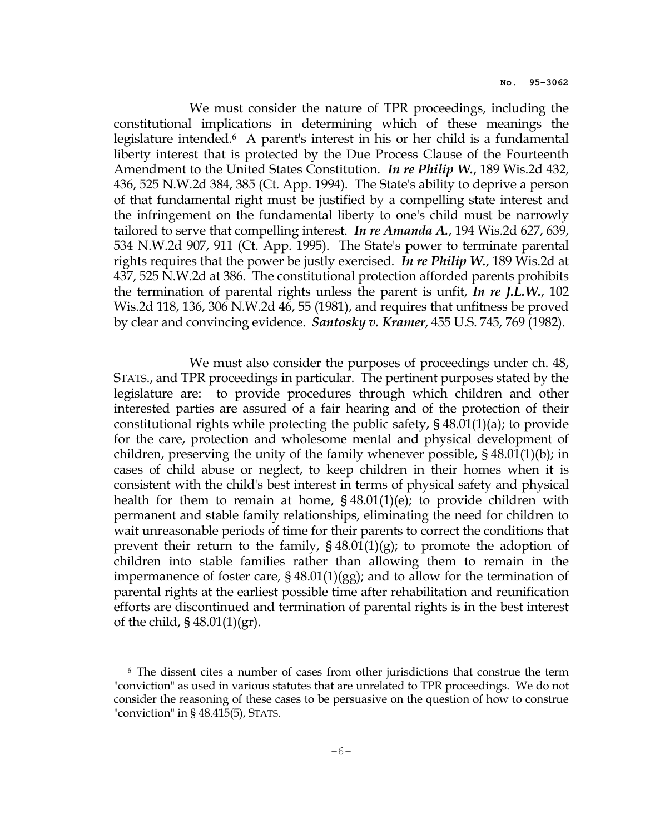We must consider the nature of TPR proceedings, including the constitutional implications in determining which of these meanings the legislature intended.6 A parent's interest in his or her child is a fundamental liberty interest that is protected by the Due Process Clause of the Fourteenth Amendment to the United States Constitution. In re Philip W., 189 Wis.2d 432, 436, 525 N.W.2d 384, 385 (Ct. App. 1994). The State's ability to deprive a person of that fundamental right must be justified by a compelling state interest and the infringement on the fundamental liberty to one's child must be narrowly tailored to serve that compelling interest. In re Amanda A., 194 Wis.2d 627, 639, 534 N.W.2d 907, 911 (Ct. App. 1995). The State's power to terminate parental rights requires that the power be justly exercised. In re Philip W., 189 Wis.2d at 437, 525 N.W.2d at 386. The constitutional protection afforded parents prohibits the termination of parental rights unless the parent is unfit, In re J.L.W., 102 Wis.2d 118, 136, 306 N.W.2d 46, 55 (1981), and requires that unfitness be proved by clear and convincing evidence. Santosky v. Kramer, 455 U.S. 745, 769 (1982).

We must also consider the purposes of proceedings under ch. 48, STATS., and TPR proceedings in particular. The pertinent purposes stated by the legislature are: to provide procedures through which children and other interested parties are assured of a fair hearing and of the protection of their constitutional rights while protecting the public safety, § 48.01(1)(a); to provide for the care, protection and wholesome mental and physical development of children, preserving the unity of the family whenever possible, § 48.01(1)(b); in cases of child abuse or neglect, to keep children in their homes when it is consistent with the child's best interest in terms of physical safety and physical health for them to remain at home,  $\S$  48.01(1)(e); to provide children with permanent and stable family relationships, eliminating the need for children to wait unreasonable periods of time for their parents to correct the conditions that prevent their return to the family,  $\S 48.01(1)(g)$ ; to promote the adoption of children into stable families rather than allowing them to remain in the impermanence of foster care, § 48.01(1)(gg); and to allow for the termination of parental rights at the earliest possible time after rehabilitation and reunification efforts are discontinued and termination of parental rights is in the best interest of the child, § 48.01(1)(gr).

i

<sup>6</sup> The dissent cites a number of cases from other jurisdictions that construe the term "conviction" as used in various statutes that are unrelated to TPR proceedings. We do not consider the reasoning of these cases to be persuasive on the question of how to construe "conviction" in § 48.415(5), STATS.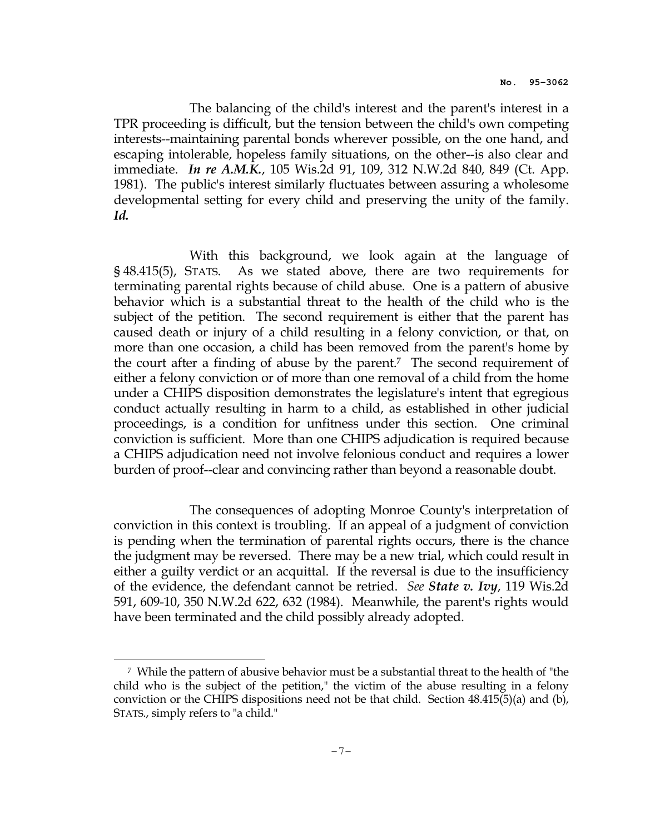The balancing of the child's interest and the parent's interest in a TPR proceeding is difficult, but the tension between the child's own competing interests--maintaining parental bonds wherever possible, on the one hand, and escaping intolerable, hopeless family situations, on the other--is also clear and immediate. *In re A.M.K.*, 105 Wis.2d 91, 109, 312 N.W.2d 840, 849 (Ct. App. 1981). The public's interest similarly fluctuates between assuring a wholesome developmental setting for every child and preserving the unity of the family. Id.

 With this background, we look again at the language of § 48.415(5), STATS. As we stated above, there are two requirements for terminating parental rights because of child abuse. One is a pattern of abusive behavior which is a substantial threat to the health of the child who is the subject of the petition. The second requirement is either that the parent has caused death or injury of a child resulting in a felony conviction, or that, on more than one occasion, a child has been removed from the parent's home by the court after a finding of abuse by the parent.<sup>7</sup> The second requirement of either a felony conviction or of more than one removal of a child from the home under a CHIPS disposition demonstrates the legislature's intent that egregious conduct actually resulting in harm to a child, as established in other judicial proceedings, is a condition for unfitness under this section. One criminal conviction is sufficient. More than one CHIPS adjudication is required because a CHIPS adjudication need not involve felonious conduct and requires a lower burden of proof--clear and convincing rather than beyond a reasonable doubt.

 The consequences of adopting Monroe County's interpretation of conviction in this context is troubling. If an appeal of a judgment of conviction is pending when the termination of parental rights occurs, there is the chance the judgment may be reversed. There may be a new trial, which could result in either a guilty verdict or an acquittal. If the reversal is due to the insufficiency of the evidence, the defendant cannot be retried. *See State v. Ivy*, 119 Wis.2d 591, 609-10, 350 N.W.2d 622, 632 (1984). Meanwhile, the parent's rights would have been terminated and the child possibly already adopted.

i

<sup>7</sup> While the pattern of abusive behavior must be a substantial threat to the health of "the child who is the subject of the petition," the victim of the abuse resulting in a felony conviction or the CHIPS dispositions need not be that child. Section 48.415(5)(a) and (b), STATS., simply refers to "a child."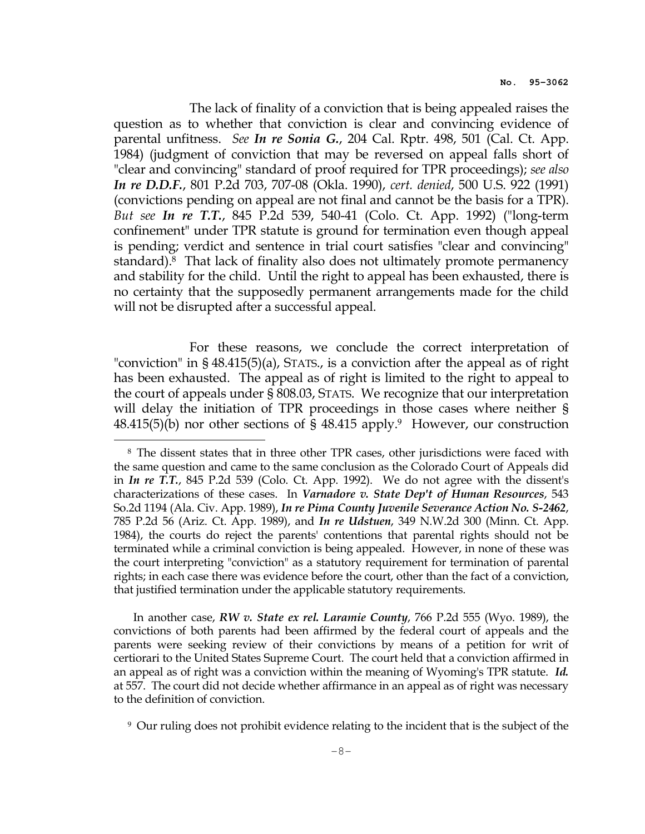The lack of finality of a conviction that is being appealed raises the question as to whether that conviction is clear and convincing evidence of parental unfitness. See In re Sonia G., 204 Cal. Rptr. 498, 501 (Cal. Ct. App. 1984) (judgment of conviction that may be reversed on appeal falls short of "clear and convincing" standard of proof required for TPR proceedings); see also In re D.D.F., 801 P.2d 703, 707-08 (Okla. 1990), cert. denied, 500 U.S. 922 (1991) (convictions pending on appeal are not final and cannot be the basis for a TPR). But see In re T.T., 845 P.2d 539, 540-41 (Colo. Ct. App. 1992) ("long-term confinement" under TPR statute is ground for termination even though appeal is pending; verdict and sentence in trial court satisfies "clear and convincing" standard).8 That lack of finality also does not ultimately promote permanency and stability for the child. Until the right to appeal has been exhausted, there is no certainty that the supposedly permanent arrangements made for the child will not be disrupted after a successful appeal.

 For these reasons, we conclude the correct interpretation of "conviction" in § 48.415(5)(a), STATS., is a conviction after the appeal as of right has been exhausted. The appeal as of right is limited to the right to appeal to the court of appeals under § 808.03, STATS. We recognize that our interpretation will delay the initiation of TPR proceedings in those cases where neither §  $48.415(5)(b)$  nor other sections of §  $48.415$  apply.<sup>9</sup> However, our construction

i

In another case, RW v. State ex rel. Laramie County, 766 P.2d 555 (Wyo. 1989), the convictions of both parents had been affirmed by the federal court of appeals and the parents were seeking review of their convictions by means of a petition for writ of certiorari to the United States Supreme Court. The court held that a conviction affirmed in an appeal as of right was a conviction within the meaning of Wyoming's TPR statute. Id. at 557. The court did not decide whether affirmance in an appeal as of right was necessary to the definition of conviction.

9 Our ruling does not prohibit evidence relating to the incident that is the subject of the

<sup>8</sup> The dissent states that in three other TPR cases, other jurisdictions were faced with the same question and came to the same conclusion as the Colorado Court of Appeals did in In re T.T., 845 P.2d 539 (Colo. Ct. App. 1992). We do not agree with the dissent's characterizations of these cases. In Varnadore v. State Dep't of Human Resources, 543 So.2d 1194 (Ala. Civ. App. 1989), In re Pima County Juvenile Severance Action No. S-2462, 785 P.2d 56 (Ariz. Ct. App. 1989), and *In re Udstuen*, 349 N.W.2d 300 (Minn. Ct. App. 1984), the courts do reject the parents' contentions that parental rights should not be terminated while a criminal conviction is being appealed. However, in none of these was the court interpreting "conviction" as a statutory requirement for termination of parental rights; in each case there was evidence before the court, other than the fact of a conviction, that justified termination under the applicable statutory requirements.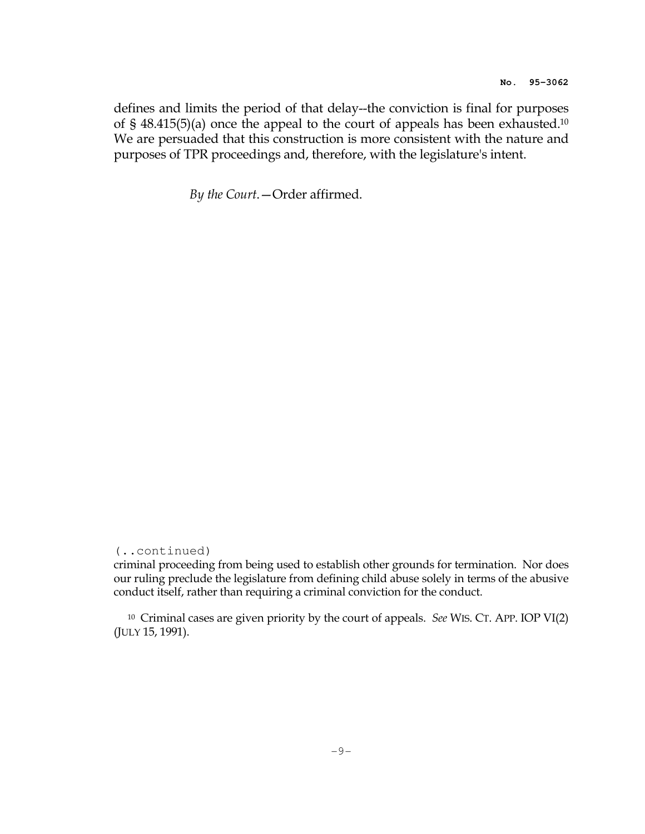defines and limits the period of that delay--the conviction is final for purposes of § 48.415(5)(a) once the appeal to the court of appeals has been exhausted.<sup>10</sup> We are persuaded that this construction is more consistent with the nature and purposes of TPR proceedings and, therefore, with the legislature's intent.

By the Court.—Order affirmed.

(..continued)

criminal proceeding from being used to establish other grounds for termination. Nor does our ruling preclude the legislature from defining child abuse solely in terms of the abusive conduct itself, rather than requiring a criminal conviction for the conduct.

 $10$  Criminal cases are given priority by the court of appeals. See WIS. CT. APP. IOP VI $(2)$ (JULY 15, 1991).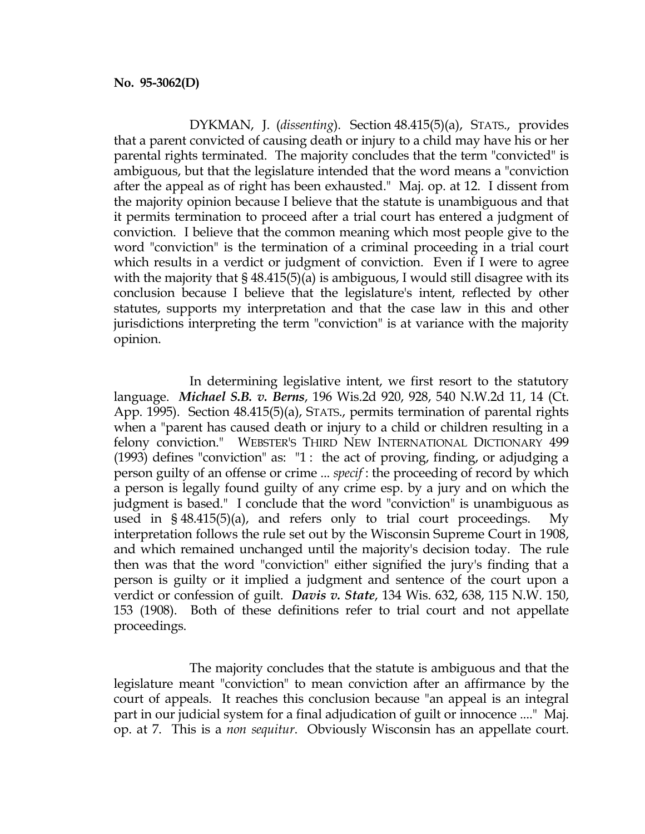DYKMAN, J. (dissenting). Section 48.415(5)(a), STATS., provides that a parent convicted of causing death or injury to a child may have his or her parental rights terminated. The majority concludes that the term "convicted" is ambiguous, but that the legislature intended that the word means a "conviction after the appeal as of right has been exhausted." Maj. op. at 12. I dissent from the majority opinion because I believe that the statute is unambiguous and that it permits termination to proceed after a trial court has entered a judgment of conviction. I believe that the common meaning which most people give to the word "conviction" is the termination of a criminal proceeding in a trial court which results in a verdict or judgment of conviction. Even if I were to agree with the majority that  $\S$  48.415(5)(a) is ambiguous, I would still disagree with its conclusion because I believe that the legislature's intent, reflected by other statutes, supports my interpretation and that the case law in this and other jurisdictions interpreting the term "conviction" is at variance with the majority opinion.

 In determining legislative intent, we first resort to the statutory language. Michael S.B. v. Berns, 196 Wis.2d 920, 928, 540 N.W.2d 11, 14 (Ct. App. 1995). Section 48.415(5)(a), STATS., permits termination of parental rights when a "parent has caused death or injury to a child or children resulting in a felony conviction." WEBSTER'S THIRD NEW INTERNATIONAL DICTIONARY 499 (1993) defines "conviction" as: "1 : the act of proving, finding, or adjudging a person guilty of an offense or crime ... specif : the proceeding of record by which a person is legally found guilty of any crime esp. by a jury and on which the judgment is based." I conclude that the word "conviction" is unambiguous as used in § 48.415(5)(a), and refers only to trial court proceedings. My interpretation follows the rule set out by the Wisconsin Supreme Court in 1908, and which remained unchanged until the majority's decision today. The rule then was that the word "conviction" either signified the jury's finding that a person is guilty or it implied a judgment and sentence of the court upon a verdict or confession of guilt. Davis v. State, 134 Wis. 632, 638, 115 N.W. 150, 153 (1908). Both of these definitions refer to trial court and not appellate proceedings.

 The majority concludes that the statute is ambiguous and that the legislature meant "conviction" to mean conviction after an affirmance by the court of appeals. It reaches this conclusion because "an appeal is an integral part in our judicial system for a final adjudication of guilt or innocence ...." Maj. op. at 7. This is a non sequitur. Obviously Wisconsin has an appellate court.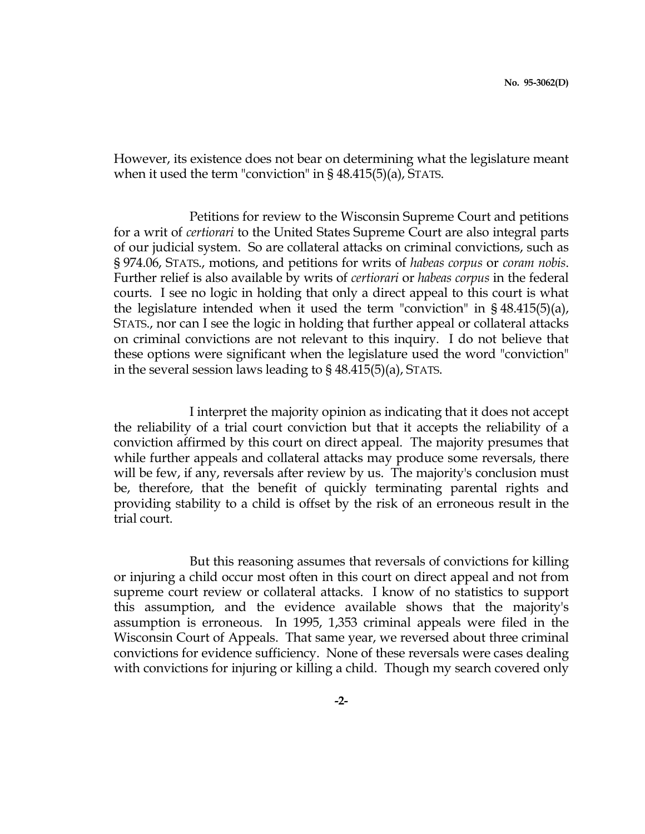However, its existence does not bear on determining what the legislature meant when it used the term "conviction" in § 48.415(5)(a), STATS.

 Petitions for review to the Wisconsin Supreme Court and petitions for a writ of certiorari to the United States Supreme Court are also integral parts of our judicial system. So are collateral attacks on criminal convictions, such as § 974.06, STATS., motions, and petitions for writs of habeas corpus or coram nobis. Further relief is also available by writs of certiorari or habeas corpus in the federal courts. I see no logic in holding that only a direct appeal to this court is what the legislature intended when it used the term "conviction" in § 48.415(5)(a), STATS., nor can I see the logic in holding that further appeal or collateral attacks on criminal convictions are not relevant to this inquiry. I do not believe that these options were significant when the legislature used the word "conviction" in the several session laws leading to § 48.415(5)(a), STATS.

 I interpret the majority opinion as indicating that it does not accept the reliability of a trial court conviction but that it accepts the reliability of a conviction affirmed by this court on direct appeal. The majority presumes that while further appeals and collateral attacks may produce some reversals, there will be few, if any, reversals after review by us. The majority's conclusion must be, therefore, that the benefit of quickly terminating parental rights and providing stability to a child is offset by the risk of an erroneous result in the trial court.

 But this reasoning assumes that reversals of convictions for killing or injuring a child occur most often in this court on direct appeal and not from supreme court review or collateral attacks. I know of no statistics to support this assumption, and the evidence available shows that the majority's assumption is erroneous. In 1995, 1,353 criminal appeals were filed in the Wisconsin Court of Appeals. That same year, we reversed about three criminal convictions for evidence sufficiency. None of these reversals were cases dealing with convictions for injuring or killing a child. Though my search covered only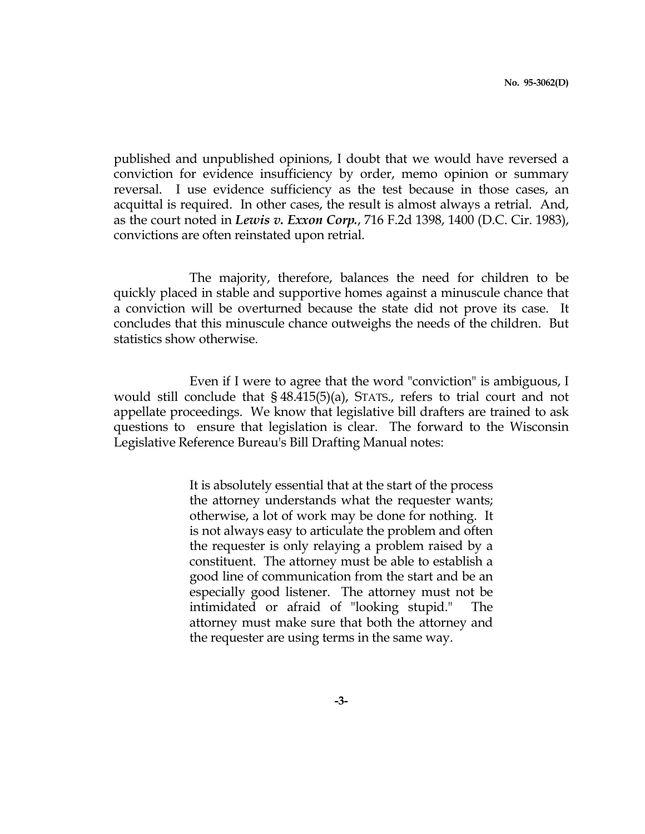published and unpublished opinions, I doubt that we would have reversed a conviction for evidence insufficiency by order, memo opinion or summary reversal. I use evidence sufficiency as the test because in those cases, an acquittal is required. In other cases, the result is almost always a retrial. And, as the court noted in *Lewis v. Exxon Corp.*, 716 F.2d 1398, 1400 (D.C. Cir. 1983), convictions are often reinstated upon retrial.

 The majority, therefore, balances the need for children to be quickly placed in stable and supportive homes against a minuscule chance that a conviction will be overturned because the state did not prove its case. It concludes that this minuscule chance outweighs the needs of the children. But statistics show otherwise.

 Even if I were to agree that the word "conviction" is ambiguous, I would still conclude that § 48.415(5)(a), STATS., refers to trial court and not appellate proceedings. We know that legislative bill drafters are trained to ask questions to ensure that legislation is clear. The forward to the Wisconsin Legislative Reference Bureau's Bill Drafting Manual notes:

> It is absolutely essential that at the start of the process the attorney understands what the requester wants; otherwise, a lot of work may be done for nothing. It is not always easy to articulate the problem and often the requester is only relaying a problem raised by a constituent. The attorney must be able to establish a good line of communication from the start and be an especially good listener. The attorney must not be intimidated or afraid of "looking stupid." The attorney must make sure that both the attorney and the requester are using terms in the same way.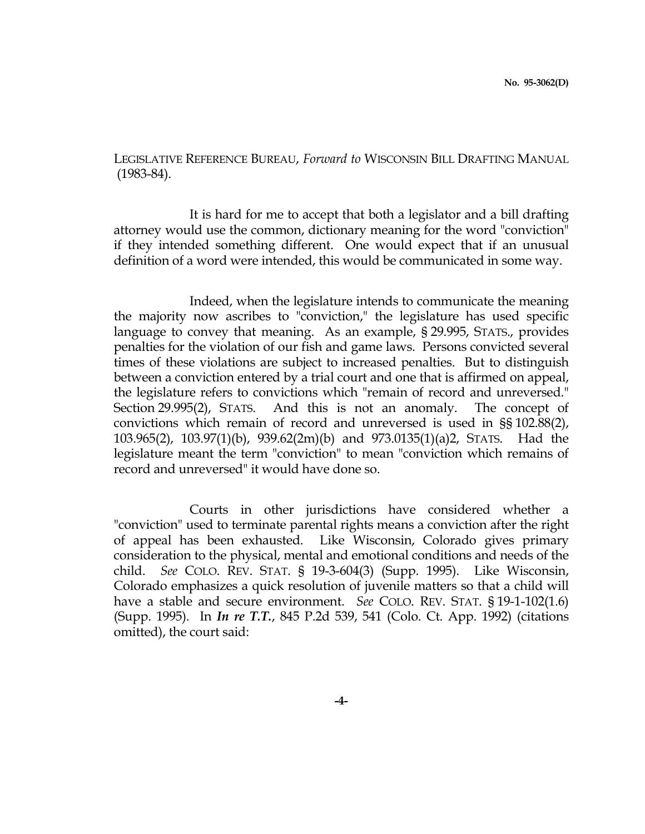LEGISLATIVE REFERENCE BUREAU, Forward to WISCONSIN BILL DRAFTING MANUAL (1983-84).

 It is hard for me to accept that both a legislator and a bill drafting attorney would use the common, dictionary meaning for the word "conviction" if they intended something different. One would expect that if an unusual definition of a word were intended, this would be communicated in some way.

 Indeed, when the legislature intends to communicate the meaning the majority now ascribes to "conviction," the legislature has used specific language to convey that meaning. As an example, § 29.995, STATS., provides penalties for the violation of our fish and game laws. Persons convicted several times of these violations are subject to increased penalties. But to distinguish between a conviction entered by a trial court and one that is affirmed on appeal, the legislature refers to convictions which "remain of record and unreversed." Section 29.995(2), STATS. And this is not an anomaly. The concept of convictions which remain of record and unreversed is used in §§ 102.88(2), 103.965(2), 103.97(1)(b), 939.62(2m)(b) and 973.0135(1)(a)2, STATS. Had the legislature meant the term "conviction" to mean "conviction which remains of record and unreversed" it would have done so.

 Courts in other jurisdictions have considered whether a "conviction" used to terminate parental rights means a conviction after the right of appeal has been exhausted. Like Wisconsin, Colorado gives primary consideration to the physical, mental and emotional conditions and needs of the child. See COLO. REV. STAT. § 19-3-604(3) (Supp. 1995). Like Wisconsin, Colorado emphasizes a quick resolution of juvenile matters so that a child will have a stable and secure environment. See COLO. REV. STAT. § 19-1-102(1.6) (Supp. 1995). In In re T.T., 845 P.2d 539, 541 (Colo. Ct. App. 1992) (citations omitted), the court said: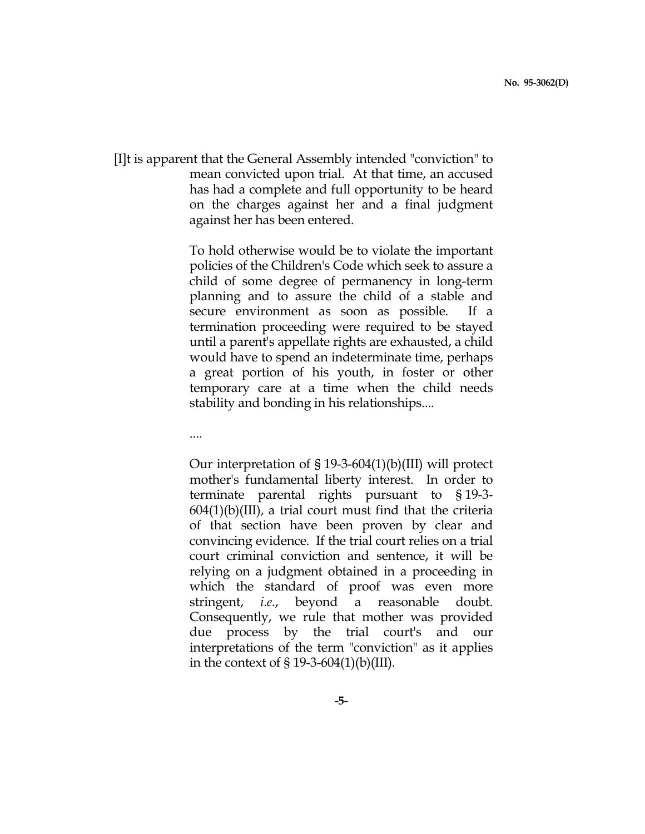[I]t is apparent that the General Assembly intended "conviction" to mean convicted upon trial. At that time, an accused has had a complete and full opportunity to be heard on the charges against her and a final judgment against her has been entered.

> To hold otherwise would be to violate the important policies of the Children's Code which seek to assure a child of some degree of permanency in long-term planning and to assure the child of a stable and secure environment as soon as possible. If a termination proceeding were required to be stayed until a parent's appellate rights are exhausted, a child would have to spend an indeterminate time, perhaps a great portion of his youth, in foster or other temporary care at a time when the child needs stability and bonding in his relationships....

....

 Our interpretation of § 19-3-604(1)(b)(III) will protect mother's fundamental liberty interest. In order to terminate parental rights pursuant to § 19-3-  $604(1)(b)(III)$ , a trial court must find that the criteria of that section have been proven by clear and convincing evidence. If the trial court relies on a trial court criminal conviction and sentence, it will be relying on a judgment obtained in a proceeding in which the standard of proof was even more stringent, i.e., beyond a reasonable doubt. Consequently, we rule that mother was provided due process by the trial court's and our interpretations of the term "conviction" as it applies in the context of  $\S 19-3-604(1)(b)(III)$ .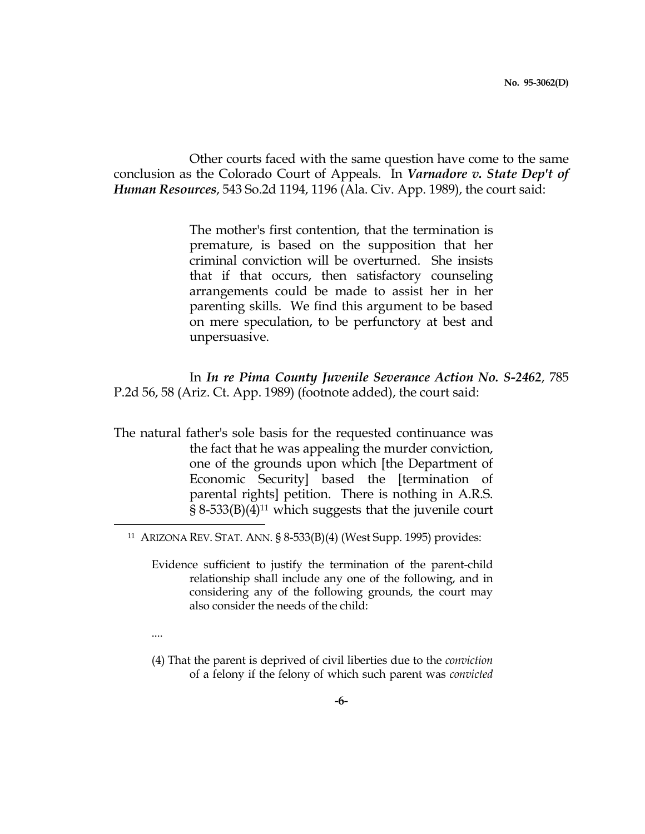Other courts faced with the same question have come to the same conclusion as the Colorado Court of Appeals. In Varnadore v. State Dep't of Human Resources, 543 So.2d 1194, 1196 (Ala. Civ. App. 1989), the court said:

> The mother's first contention, that the termination is premature, is based on the supposition that her criminal conviction will be overturned. She insists that if that occurs, then satisfactory counseling arrangements could be made to assist her in her parenting skills. We find this argument to be based on mere speculation, to be perfunctory at best and unpersuasive.

 In In re Pima County Juvenile Severance Action No. S-2462, 785 P.2d 56, 58 (Ariz. Ct. App. 1989) (footnote added), the court said:

The natural father's sole basis for the requested continuance was the fact that he was appealing the murder conviction, one of the grounds upon which [the Department of Economic Security] based the [termination of parental rights] petition. There is nothing in A.R.S.  $\S$  8-533(B)(4)<sup>11</sup> which suggests that the juvenile court i<br>H

 Evidence sufficient to justify the termination of the parent-child relationship shall include any one of the following, and in considering any of the following grounds, the court may also consider the needs of the child:

....

 (4) That the parent is deprived of civil liberties due to the conviction of a felony if the felony of which such parent was convicted

<sup>11</sup> ARIZONA REV. STAT. ANN. § 8-533(B)(4) (West Supp. 1995) provides: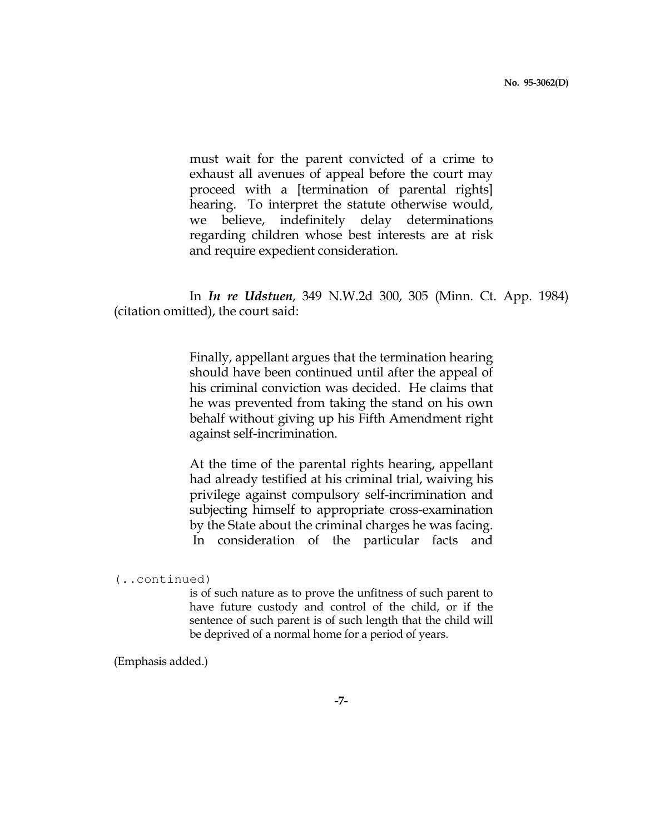must wait for the parent convicted of a crime to exhaust all avenues of appeal before the court may proceed with a [termination of parental rights] hearing. To interpret the statute otherwise would, we believe, indefinitely delay determinations regarding children whose best interests are at risk and require expedient consideration.

 In In re Udstuen, 349 N.W.2d 300, 305 (Minn. Ct. App. 1984) (citation omitted), the court said:

> Finally, appellant argues that the termination hearing should have been continued until after the appeal of his criminal conviction was decided. He claims that he was prevented from taking the stand on his own behalf without giving up his Fifth Amendment right against self-incrimination.

> At the time of the parental rights hearing, appellant had already testified at his criminal trial, waiving his privilege against compulsory self-incrimination and subjecting himself to appropriate cross-examination by the State about the criminal charges he was facing. In consideration of the particular facts and

is of such nature as to prove the unfitness of such parent to have future custody and control of the child, or if the sentence of such parent is of such length that the child will be deprived of a normal home for a period of years.

(Emphasis added.)

<sup>(..</sup>continued)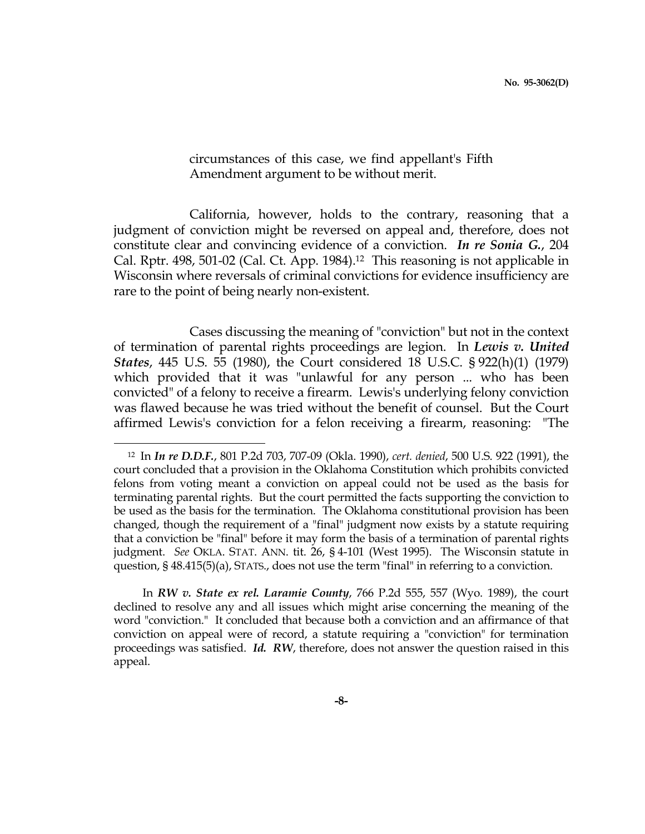circumstances of this case, we find appellant's Fifth Amendment argument to be without merit.

 California, however, holds to the contrary, reasoning that a judgment of conviction might be reversed on appeal and, therefore, does not constitute clear and convincing evidence of a conviction. In re Sonia G., 204 Cal. Rptr. 498, 501-02 (Cal. Ct. App. 1984).12 This reasoning is not applicable in Wisconsin where reversals of criminal convictions for evidence insufficiency are rare to the point of being nearly non-existent.

 Cases discussing the meaning of "conviction" but not in the context of termination of parental rights proceedings are legion. In Lewis v. United States, 445 U.S. 55 (1980), the Court considered 18 U.S.C. § 922(h)(1) (1979) which provided that it was "unlawful for any person ... who has been convicted" of a felony to receive a firearm. Lewis's underlying felony conviction was flawed because he was tried without the benefit of counsel. But the Court affirmed Lewis's conviction for a felon receiving a firearm, reasoning: "The

i

 In RW v. State ex rel. Laramie County, 766 P.2d 555, 557 (Wyo. 1989), the court declined to resolve any and all issues which might arise concerning the meaning of the word "conviction." It concluded that because both a conviction and an affirmance of that conviction on appeal were of record, a statute requiring a "conviction" for termination proceedings was satisfied. Id. RW, therefore, does not answer the question raised in this appeal.

<sup>&</sup>lt;sup>12</sup> In *In re D.D.F., 801 P.2d 703, 707-09 (Okla. 1990), cert. denied, 500 U.S. 922 (1991), the* court concluded that a provision in the Oklahoma Constitution which prohibits convicted felons from voting meant a conviction on appeal could not be used as the basis for terminating parental rights. But the court permitted the facts supporting the conviction to be used as the basis for the termination. The Oklahoma constitutional provision has been changed, though the requirement of a "final" judgment now exists by a statute requiring that a conviction be "final" before it may form the basis of a termination of parental rights judgment. See OKLA. STAT. ANN. tit. 26, § 4-101 (West 1995). The Wisconsin statute in question, § 48.415(5)(a), STATS., does not use the term "final" in referring to a conviction.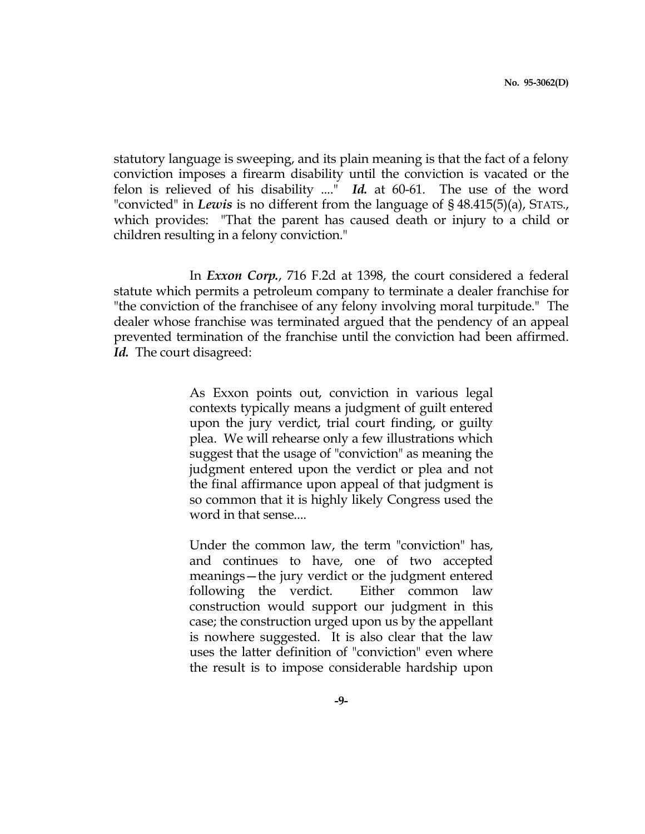statutory language is sweeping, and its plain meaning is that the fact of a felony conviction imposes a firearm disability until the conviction is vacated or the felon is relieved of his disability ...." Id. at 60-61. The use of the word "convicted" in Lewis is no different from the language of  $\S$  48.415(5)(a), STATS., which provides: "That the parent has caused death or injury to a child or children resulting in a felony conviction."

 In Exxon Corp., 716 F.2d at 1398, the court considered a federal statute which permits a petroleum company to terminate a dealer franchise for "the conviction of the franchisee of any felony involving moral turpitude." The dealer whose franchise was terminated argued that the pendency of an appeal prevented termination of the franchise until the conviction had been affirmed. Id. The court disagreed:

> As Exxon points out, conviction in various legal contexts typically means a judgment of guilt entered upon the jury verdict, trial court finding, or guilty plea. We will rehearse only a few illustrations which suggest that the usage of "conviction" as meaning the judgment entered upon the verdict or plea and not the final affirmance upon appeal of that judgment is so common that it is highly likely Congress used the word in that sense....

> Under the common law, the term "conviction" has, and continues to have, one of two accepted meanings—the jury verdict or the judgment entered following the verdict. Either common law construction would support our judgment in this case; the construction urged upon us by the appellant is nowhere suggested. It is also clear that the law uses the latter definition of "conviction" even where the result is to impose considerable hardship upon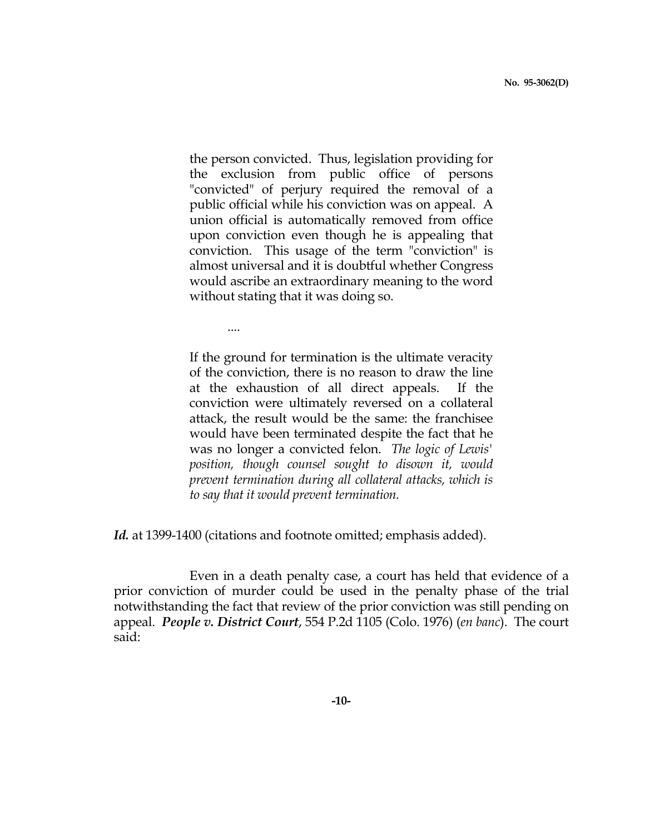the person convicted. Thus, legislation providing for the exclusion from public office of persons "convicted" of perjury required the removal of a public official while his conviction was on appeal. A union official is automatically removed from office upon conviction even though he is appealing that conviction. This usage of the term "conviction" is almost universal and it is doubtful whether Congress would ascribe an extraordinary meaning to the word without stating that it was doing so.

....

 If the ground for termination is the ultimate veracity of the conviction, there is no reason to draw the line at the exhaustion of all direct appeals. If the conviction were ultimately reversed on a collateral attack, the result would be the same: the franchisee would have been terminated despite the fact that he was no longer a convicted felon. The logic of Lewis' position, though counsel sought to disown it, would prevent termination during all collateral attacks, which is to say that it would prevent termination.

Id. at 1399-1400 (citations and footnote omitted; emphasis added).

 Even in a death penalty case, a court has held that evidence of a prior conviction of murder could be used in the penalty phase of the trial notwithstanding the fact that review of the prior conviction was still pending on appeal. People v. District Court, 554 P.2d 1105 (Colo. 1976) (en banc). The court said: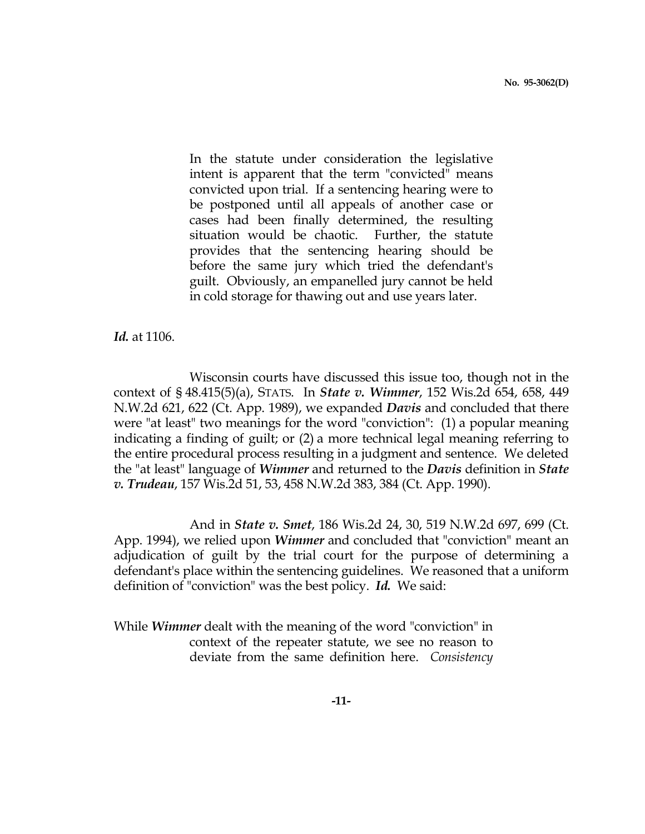In the statute under consideration the legislative intent is apparent that the term "convicted" means convicted upon trial. If a sentencing hearing were to be postponed until all appeals of another case or cases had been finally determined, the resulting situation would be chaotic. Further, the statute provides that the sentencing hearing should be before the same jury which tried the defendant's guilt. Obviously, an empanelled jury cannot be held in cold storage for thawing out and use years later.

Id. at 1106.

 Wisconsin courts have discussed this issue too, though not in the context of § 48.415(5)(a), STATS. In State v. Wimmer, 152 Wis.2d 654, 658, 449 N.W.2d 621, 622 (Ct. App. 1989), we expanded *Davis* and concluded that there were "at least" two meanings for the word "conviction": (1) a popular meaning indicating a finding of guilt; or (2) a more technical legal meaning referring to the entire procedural process resulting in a judgment and sentence. We deleted the "at least" language of *Wimmer* and returned to the *Davis* definition in *State* v. Trudeau, 157 Wis.2d 51, 53, 458 N.W.2d 383, 384 (Ct. App. 1990).

 And in State v. Smet, 186 Wis.2d 24, 30, 519 N.W.2d 697, 699 (Ct. App. 1994), we relied upon *Wimmer* and concluded that "conviction" meant an adjudication of guilt by the trial court for the purpose of determining a defendant's place within the sentencing guidelines. We reasoned that a uniform definition of "conviction" was the best policy. Id. We said:

While *Wimmer* dealt with the meaning of the word "conviction" in context of the repeater statute, we see no reason to deviate from the same definition here. Consistency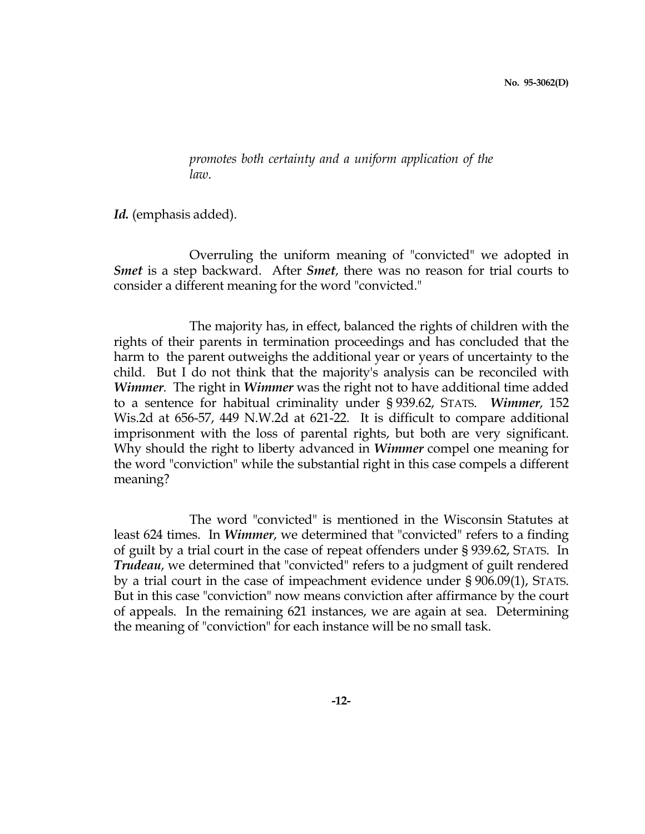promotes both certainty and a uniform application of the law.

Id. (emphasis added).

 Overruling the uniform meaning of "convicted" we adopted in Smet is a step backward. After *Smet*, there was no reason for trial courts to consider a different meaning for the word "convicted."

 The majority has, in effect, balanced the rights of children with the rights of their parents in termination proceedings and has concluded that the harm to the parent outweighs the additional year or years of uncertainty to the child. But I do not think that the majority's analysis can be reconciled with Wimmer. The right in Wimmer was the right not to have additional time added to a sentence for habitual criminality under § 939.62, STATS. Wimmer, 152 Wis.2d at 656-57, 449 N.W.2d at 621-22. It is difficult to compare additional imprisonment with the loss of parental rights, but both are very significant. Why should the right to liberty advanced in *Wimmer* compel one meaning for the word "conviction" while the substantial right in this case compels a different meaning?

 The word "convicted" is mentioned in the Wisconsin Statutes at least 624 times. In *Wimmer*, we determined that "convicted" refers to a finding of guilt by a trial court in the case of repeat offenders under § 939.62, STATS. In Trudeau, we determined that "convicted" refers to a judgment of guilt rendered by a trial court in the case of impeachment evidence under § 906.09(1), STATS. But in this case "conviction" now means conviction after affirmance by the court of appeals. In the remaining 621 instances, we are again at sea. Determining the meaning of "conviction" for each instance will be no small task.